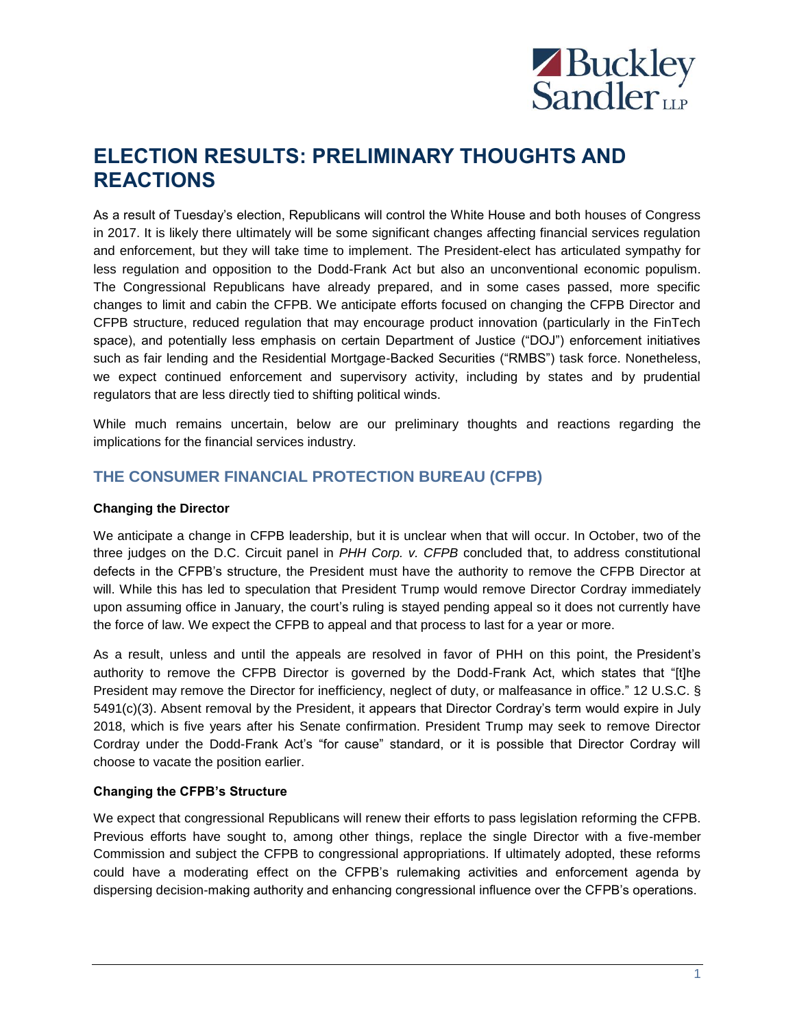

# **ELECTION RESULTS: PRELIMINARY THOUGHTS AND REACTIONS**

As a result of Tuesday's election, Republicans will control the White House and both houses of Congress in 2017. It is likely there ultimately will be some significant changes affecting financial services regulation and enforcement, but they will take time to implement. The President-elect has articulated sympathy for less regulation and opposition to the Dodd-Frank Act but also an unconventional economic populism. The Congressional Republicans have already prepared, and in some cases passed, more specific changes to limit and cabin the CFPB. We anticipate efforts focused on changing the CFPB Director and CFPB structure, reduced regulation that may encourage product innovation (particularly in the FinTech space), and potentially less emphasis on certain Department of Justice ("DOJ") enforcement initiatives such as fair lending and the Residential Mortgage-Backed Securities ("RMBS") task force. Nonetheless, we expect continued enforcement and supervisory activity, including by states and by prudential regulators that are less directly tied to shifting political winds.

While much remains uncertain, below are our preliminary thoughts and reactions regarding the implications for the financial services industry.

## **THE CONSUMER FINANCIAL PROTECTION BUREAU (CFPB)**

#### **Changing the Director**

We anticipate a change in CFPB leadership, but it is unclear when that will occur. In October, two of the three judges on the D.C. Circuit panel in *PHH Corp. v. CFPB* concluded that, to address constitutional defects in the CFPB's structure, the President must have the authority to remove the CFPB Director at will. While this has led to speculation that President Trump would remove Director Cordray immediately upon assuming office in January, the court's ruling is stayed pending appeal so it does not currently have the force of law. We expect the CFPB to appeal and that process to last for a year or more.

As a result, unless and until the appeals are resolved in favor of PHH on this point, the President's authority to remove the CFPB Director is governed by the Dodd-Frank Act, which states that "[t]he President may remove the Director for inefficiency, neglect of duty, or malfeasance in office." 12 U.S.C. § 5491(c)(3). Absent removal by the President, it appears that Director Cordray's term would expire in July 2018, which is five years after his Senate confirmation. President Trump may seek to remove Director Cordray under the Dodd-Frank Act's "for cause" standard, or it is possible that Director Cordray will choose to vacate the position earlier.

#### **Changing the CFPB's Structure**

We expect that congressional Republicans will renew their efforts to pass legislation reforming the CFPB. Previous efforts have sought to, among other things, replace the single Director with a five-member Commission and subject the CFPB to congressional appropriations. If ultimately adopted, these reforms could have a moderating effect on the CFPB's rulemaking activities and enforcement agenda by dispersing decision-making authority and enhancing congressional influence over the CFPB's operations.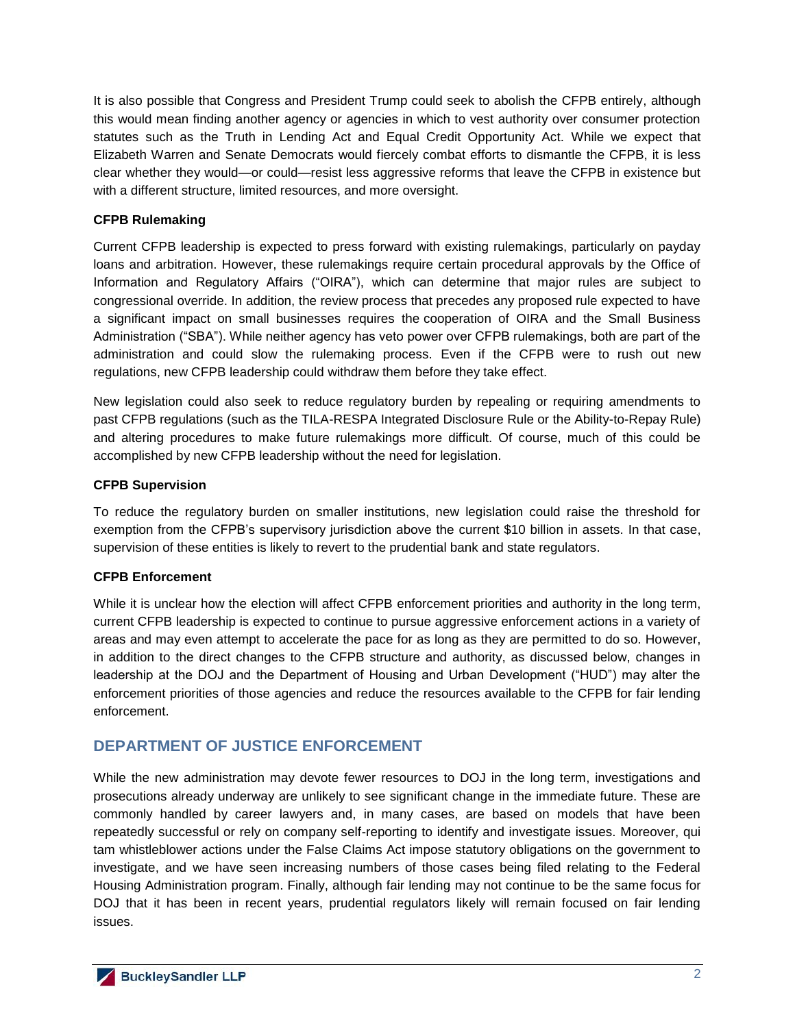It is also possible that Congress and President Trump could seek to abolish the CFPB entirely, although this would mean finding another agency or agencies in which to vest authority over consumer protection statutes such as the Truth in Lending Act and Equal Credit Opportunity Act. While we expect that Elizabeth Warren and Senate Democrats would fiercely combat efforts to dismantle the CFPB, it is less clear whether they would—or could—resist less aggressive reforms that leave the CFPB in existence but with a different structure, limited resources, and more oversight.

#### **CFPB Rulemaking**

Current CFPB leadership is expected to press forward with existing rulemakings, particularly on payday loans and arbitration. However, these rulemakings require certain procedural approvals by the Office of Information and Regulatory Affairs ("OIRA"), which can determine that major rules are subject to congressional override. In addition, the review process that precedes any proposed rule expected to have a significant impact on small businesses requires the cooperation of OIRA and the Small Business Administration ("SBA"). While neither agency has veto power over CFPB rulemakings, both are part of the administration and could slow the rulemaking process. Even if the CFPB were to rush out new regulations, new CFPB leadership could withdraw them before they take effect.

New legislation could also seek to reduce regulatory burden by repealing or requiring amendments to past CFPB regulations (such as the TILA-RESPA Integrated Disclosure Rule or the Ability-to-Repay Rule) and altering procedures to make future rulemakings more difficult. Of course, much of this could be accomplished by new CFPB leadership without the need for legislation.

### **CFPB Supervision**

To reduce the regulatory burden on smaller institutions, new legislation could raise the threshold for exemption from the CFPB's supervisory jurisdiction above the current \$10 billion in assets. In that case, supervision of these entities is likely to revert to the prudential bank and state regulators.

#### **CFPB Enforcement**

While it is unclear how the election will affect CFPB enforcement priorities and authority in the long term, current CFPB leadership is expected to continue to pursue aggressive enforcement actions in a variety of areas and may even attempt to accelerate the pace for as long as they are permitted to do so. However, in addition to the direct changes to the CFPB structure and authority, as discussed below, changes in leadership at the DOJ and the Department of Housing and Urban Development ("HUD") may alter the enforcement priorities of those agencies and reduce the resources available to the CFPB for fair lending enforcement.

## **DEPARTMENT OF JUSTICE ENFORCEMENT**

While the new administration may devote fewer resources to DOJ in the long term, investigations and prosecutions already underway are unlikely to see significant change in the immediate future. These are commonly handled by career lawyers and, in many cases, are based on models that have been repeatedly successful or rely on company self-reporting to identify and investigate issues. Moreover, qui tam whistleblower actions under the False Claims Act impose statutory obligations on the government to investigate, and we have seen increasing numbers of those cases being filed relating to the Federal Housing Administration program. Finally, although fair lending may not continue to be the same focus for DOJ that it has been in recent years, prudential regulators likely will remain focused on fair lending issues.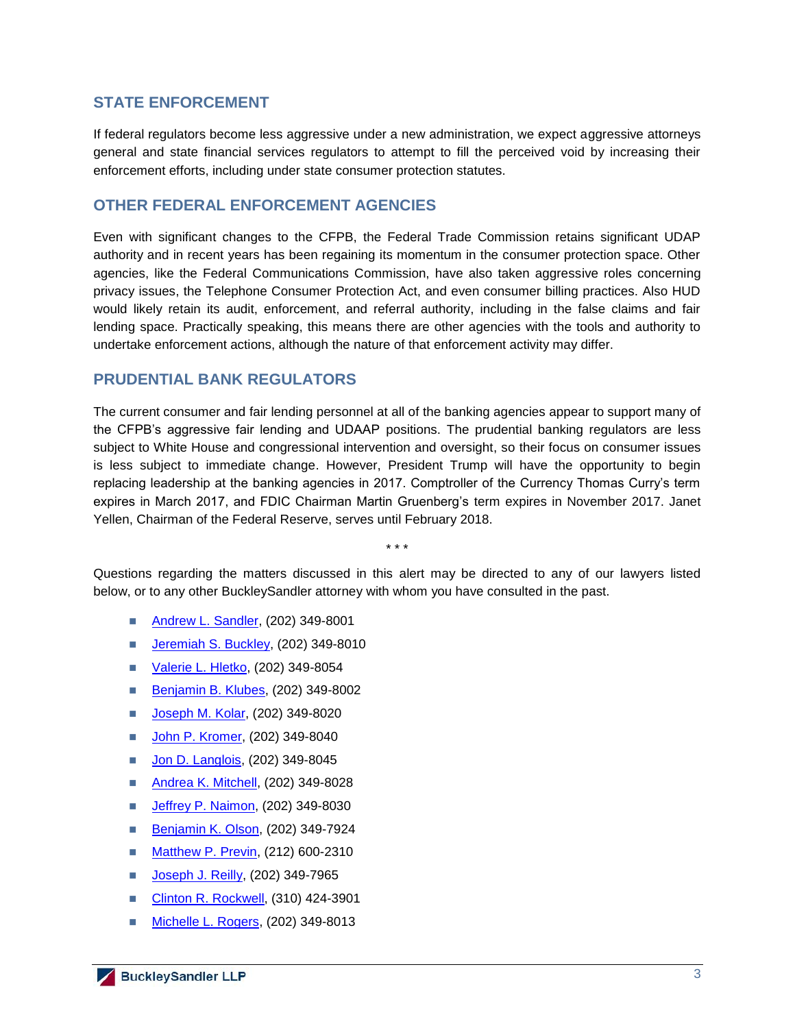## **STATE ENFORCEMENT**

If federal regulators become less aggressive under a new administration, we expect aggressive attorneys general and state financial services regulators to attempt to fill the perceived void by increasing their enforcement efforts, including under state consumer protection statutes.

## **OTHER FEDERAL ENFORCEMENT AGENCIES**

Even with significant changes to the CFPB, the Federal Trade Commission retains significant UDAP authority and in recent years has been regaining its momentum in the consumer protection space. Other agencies, like the Federal Communications Commission, have also taken aggressive roles concerning privacy issues, the Telephone Consumer Protection Act, and even consumer billing practices. Also HUD would likely retain its audit, enforcement, and referral authority, including in the false claims and fair lending space. Practically speaking, this means there are other agencies with the tools and authority to undertake enforcement actions, although the nature of that enforcement activity may differ.

## **PRUDENTIAL BANK REGULATORS**

The current consumer and fair lending personnel at all of the banking agencies appear to support many of the CFPB's aggressive fair lending and UDAAP positions. The prudential banking regulators are less subject to White House and congressional intervention and oversight, so their focus on consumer issues is less subject to immediate change. However, President Trump will have the opportunity to begin replacing leadership at the banking agencies in 2017. Comptroller of the Currency Thomas Curry's term expires in March 2017, and FDIC Chairman Martin Gruenberg's term expires in November 2017. Janet Yellen, Chairman of the Federal Reserve, serves until February 2018.

\* \* \*

Questions regarding the matters discussed in this alert may be directed to any of our lawyers listed below, or to any other BuckleySandler attorney with whom you have consulted in the past.

- **[Andrew L. Sandler,](http://buckleysandler.com/professionals-bio-detail/andrew-l-sandler) (202) 349-8001**
- [Jeremiah S. Buckley,](http://buckleysandler.com/professionals-bio-detail/jeremiah-s-buckley) (202) 349-8010
- [Valerie L. Hletko,](http://buckleysandler.com/professionals-bio-detail/valerie-l-hletko) (202) 349-8054
- [Benjamin B. Klubes,](http://buckleysandler.com/professionals-bio-detail/benjamin-b-klubes) (202) 349-8002
- [Joseph M. Kolar,](http://buckleysandler.com/professionals-bio-detail/joseph-m-kolar) (202) 349-8020
- **[John P. Kromer,](http://buckleysandler.com/professionals-bio-detail/john-p-kromer) (202) 349-8040**
- [Jon D. Langlois,](http://buckleysandler.com/professionals-bio-detail/jon-david-d-langlois) (202) 349-8045
- Andrea K. [Mitchell,](http://buckleysandler.com/professionals-bio-detail/andrea-k-mitchell) (202) 349-8028
- **[Jeffrey P. Naimon,](http://buckleysandler.com/professionals-bio-detail/jeffrey-p-naimon) (202) 349-8030**
- [Benjamin K. Olson,](http://buckleysandler.com/professionals-bio-detail/benjamin-k-olson) (202) 349-7924
- **[Matthew P. Previn,](http://buckleysandler.com/professionals-bio-detail/matthew-p-previn) (212) 600-2310**
- [Joseph J. Reilly,](http://buckleysandler.com/professionals-bio-detail/joseph-j-reilly) (202) 349-7965
- Clinton R. [Rockwell,](http://buckleysandler.com/professionals-bio-detail/clinton-r-rockwell) (310) 424-3901
- [Michelle L. Rogers,](http://buckleysandler.com/professionals-bio-detail/michelle-l-rogers) (202) 349-8013